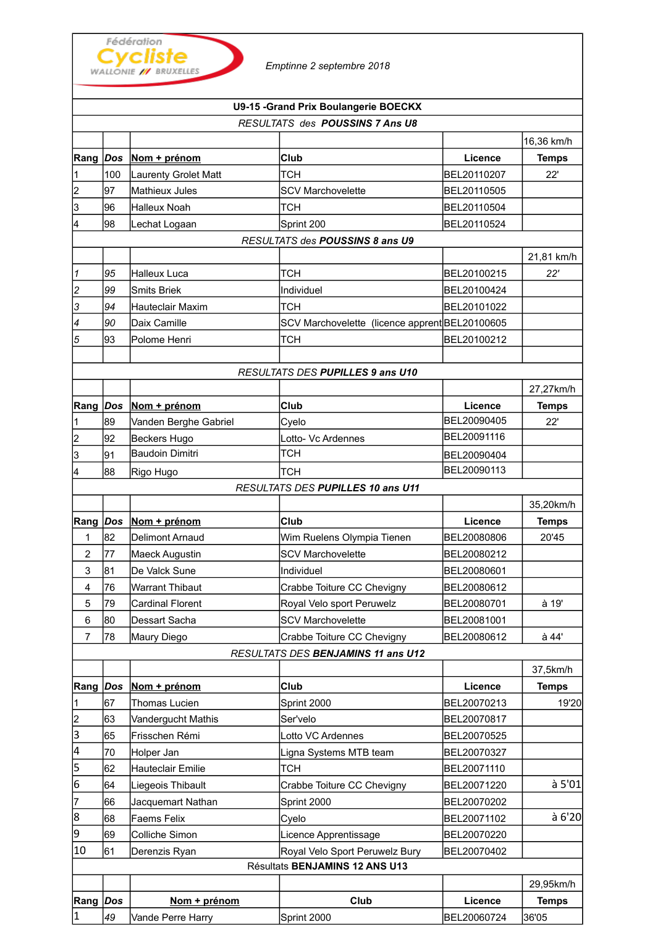|                |     | Fédération<br>Cycliste<br><b>WALLONIE // BRUXELLES</b> | Emptinne 2 septembre 2018              |
|----------------|-----|--------------------------------------------------------|----------------------------------------|
|                |     |                                                        | U9-15 - Grand Prix Boulangerie BOECKX  |
|                |     |                                                        | <b>RESULTATS des POUSSINS 7 Ans U8</b> |
|                |     |                                                        |                                        |
| Rang           | Dos | Nom + prénom                                           | Club                                   |
| 1              | 100 | <b>Laurenty Grolet Matt</b>                            | <b>TCH</b>                             |
| $\overline{2}$ | 97  | lMathieux Jules                                        | <b>SCV Marchovelette</b>               |
| 3              | 96  | Halleux Noah                                           | тсн                                    |
| 4              | 98  | Lechat Logaan                                          | Sprint 200                             |
|                |     |                                                        | RESULTATS des POUSSINS 8 ans U9        |
|                |     |                                                        |                                        |
| 1              | 95  | Halleux Luca                                           | тсн                                    |
| $\sim$         | ^^  | .                                                      | .                                      |

| RESULTATS des POUSSINS 7 Ans U8 |                                 |                             |                                                |             |              |  |  |  |  |
|---------------------------------|---------------------------------|-----------------------------|------------------------------------------------|-------------|--------------|--|--|--|--|
|                                 |                                 |                             |                                                |             | 16,36 km/h   |  |  |  |  |
| Rang Dos                        |                                 | Nom + prénom                | Club                                           | Licence     | <b>Temps</b> |  |  |  |  |
| 1                               | 100                             | <b>Laurenty Grolet Matt</b> | тсн                                            | BEL20110207 | 22'          |  |  |  |  |
| 2                               | 97                              | Mathieux Jules              | <b>SCV Marchovelette</b>                       | BEL20110505 |              |  |  |  |  |
| 3                               | 96                              | <b>Halleux Noah</b>         | тсн                                            | BEL20110504 |              |  |  |  |  |
| 4                               | 98                              | Lechat Logaan               | Sprint 200                                     | BEL20110524 |              |  |  |  |  |
|                                 | RESULTATS des POUSSINS 8 ans U9 |                             |                                                |             |              |  |  |  |  |
|                                 |                                 |                             |                                                |             | 21,81 km/h   |  |  |  |  |
| 1                               | 95                              | <b>Halleux Luca</b>         | <b>TCH</b>                                     | BEL20100215 | 22'          |  |  |  |  |
| $\overline{\mathbf{c}}$         | 99                              | <b>Smits Briek</b>          | Individuel                                     | BEL20100424 |              |  |  |  |  |
| 3                               | 94                              | <b>Hauteclair Maxim</b>     | <b>TCH</b>                                     | BEL20101022 |              |  |  |  |  |
| 4                               | 90                              | Daix Camille                | SCV Marchovelette (licence apprent BEL20100605 |             |              |  |  |  |  |
| 5                               | 93                              | Polome Henri                | <b>TCH</b>                                     | BEL20100212 |              |  |  |  |  |
|                                 |                                 |                             |                                                |             |              |  |  |  |  |
|                                 |                                 |                             | RESULTATS DES PUPILLES 9 ans U10               |             |              |  |  |  |  |
|                                 |                                 |                             |                                                |             | 27,27km/h    |  |  |  |  |
| Rang Dos                        |                                 | Nom + prénom                | Club                                           | Licence     | <b>Temps</b> |  |  |  |  |
|                                 | 89                              | Vanden Berghe Gabriel       | Cvelo                                          | BEL20090405 | 22'          |  |  |  |  |
| 2                               | 92                              | Beckers Hugo                | Lotto- Vc Ardennes                             | BEL20091116 |              |  |  |  |  |
| 3                               | 91                              | <b>Baudoin Dimitri</b>      | <b>TCH</b>                                     | BEL20090404 |              |  |  |  |  |
| 4                               | 88                              | Rigo Hugo                   | <b>TCH</b>                                     | BEL20090113 |              |  |  |  |  |
|                                 |                                 |                             | RESULTATS DES PUPILLES 10 ans U11              |             |              |  |  |  |  |
|                                 |                                 |                             |                                                |             | 35,20km/h    |  |  |  |  |
| Rang Dos                        |                                 | Nom + prénom                | Club                                           | Licence     | <b>Temps</b> |  |  |  |  |
| 1                               | 82                              | Delimont Arnaud             | Wim Ruelens Olympia Tienen                     | BEL20080806 | 20'45        |  |  |  |  |
| $\overline{c}$                  | 77                              | Maeck Augustin              | <b>SCV Marchovelette</b>                       | BEL20080212 |              |  |  |  |  |
| 3                               | 81                              | De Valck Sune               | Individuel                                     | BEL20080601 |              |  |  |  |  |
| $\overline{4}$                  | 76                              | <b>Warrant Thibaut</b>      | Crabbe Toiture CC Chevigny                     | BEL20080612 |              |  |  |  |  |
| 5                               | 79                              | <b>Cardinal Florent</b>     | Royal Velo sport Peruwelz                      | BEL20080701 | à 19'        |  |  |  |  |
| 6                               | 80                              | Dessart Sacha               | <b>SCV Marchovelette</b>                       | BEL20081001 |              |  |  |  |  |
| $\overline{7}$                  | 78                              | Maury Diego                 | Crabbe Toiture CC Chevigny                     | BEL20080612 | à 44'        |  |  |  |  |
|                                 |                                 |                             | RESULTATS DES BENJAMINS 11 ans U12             |             |              |  |  |  |  |
|                                 |                                 |                             |                                                |             | 37,5km/h     |  |  |  |  |
| Rang Dos                        |                                 | Nom + prénom                | Club                                           | Licence     | <b>Temps</b> |  |  |  |  |
| 1                               | 67                              | Thomas Lucien               | Sprint 2000                                    | BEL20070213 | 19'20        |  |  |  |  |
| 2                               | 63                              | Vandergucht Mathis          | Ser'velo                                       | BEL20070817 |              |  |  |  |  |
| 3                               | 65                              | Frisschen Rémi              | Lotto VC Ardennes                              | BEL20070525 |              |  |  |  |  |
| 4                               | 70                              | Holper Jan                  | Ligna Systems MTB team                         | BEL20070327 |              |  |  |  |  |
| 5                               | 62                              | Hauteclair Emilie           | <b>TCH</b>                                     | BEL20071110 |              |  |  |  |  |
| 6                               | 164                             | Liegeois Thibault           | Crabbe Toiture CC Chevigny                     | BEL20071220 | à 5'01       |  |  |  |  |
| 7                               | 66                              | Jacquemart Nathan           | Sprint 2000                                    | BEL20070202 |              |  |  |  |  |
| 8                               | 68                              | Faems Felix                 | Cyelo                                          | BEL20071102 | à 6'20       |  |  |  |  |
| 9                               | 69                              | Colliche Simon              | Licence Apprentissage                          | BEL20070220 |              |  |  |  |  |
| 10                              | 61                              | Derenzis Ryan               | Royal Velo Sport Peruwelz Bury                 | BEL20070402 |              |  |  |  |  |
|                                 | Résultats BENJAMINS 12 ANS U13  |                             |                                                |             |              |  |  |  |  |
|                                 |                                 |                             |                                                |             | 29,95km/h    |  |  |  |  |
| Rang                            | $\vert$ Dos                     | Nom + prénom                | Club                                           | Licence     | <b>Temps</b> |  |  |  |  |
| $\vert$ 1                       | 49                              | Vande Perre Harry           | Sprint 2000                                    | BEL20060724 | 36'05        |  |  |  |  |